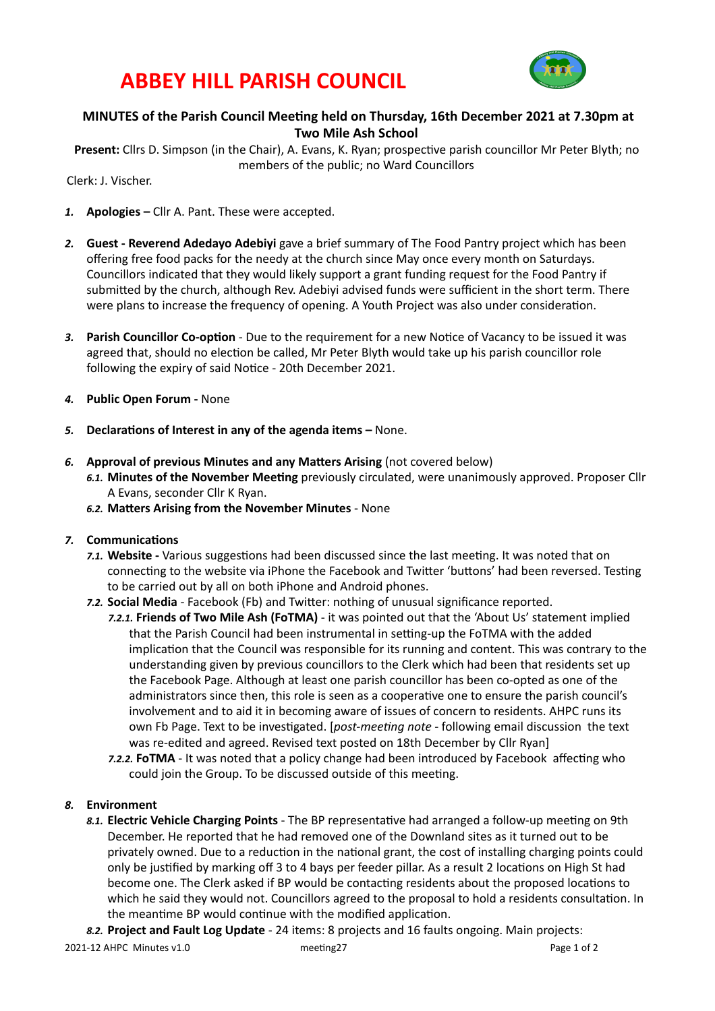# **ABBEY HILL PARISH COUNCIL**



# **MINUTES** of the Parish Council Meeting held on Thursday, 16th December 2021 at 7.30pm at **Two Mile Ash School**

Present: Cllrs D. Simpson (in the Chair), A. Evans, K. Ryan; prospective parish councillor Mr Peter Blyth; no members of the public; no Ward Councillors

Clerk: J. Vischer. 

- 1. **Apologies** Cllr A. Pant. These were accepted.
- 2. **Guest Reverend Adedayo Adebiyi** gave a brief summary of The Food Pantry project which has been offering free food packs for the needy at the church since May once every month on Saturdays. Councillors indicated that they would likely support a grant funding request for the Food Pantry if submitted by the church, although Rev. Adebiyi advised funds were sufficient in the short term. There were plans to increase the frequency of opening. A Youth Project was also under consideration.
- 3. Parish Councillor Co-option Due to the requirement for a new Notice of Vacancy to be issued it was agreed that, should no election be called, Mr Peter Blyth would take up his parish councillor role following the expiry of said Notice - 20th December 2021.
- 4. **Public Open Forum None**
- 5. **Declarations of Interest in any of the agenda items –** None.
- 6. **Approval of previous Minutes and any Matters Arising** (not covered below)
	- 6.1. Minutes of the November Meeting previously circulated, were unanimously approved. Proposer Cllr A Evans, seconder Cllr K Ryan.
	- 6.2. Matters Arising from the November Minutes None

### **7.** Communications

- 7.1. Website Various suggestions had been discussed since the last meeting. It was noted that on connecting to the website via iPhone the Facebook and Twitter 'buttons' had been reversed. Testing to be carried out by all on both iPhone and Android phones.
- 7.2. **Social Media** Facebook (Fb) and Twitter: nothing of unusual significance reported.
	- 7.2.1. Friends of Two Mile Ash (FoTMA) it was pointed out that the 'About Us' statement implied that the Parish Council had been instrumental in setting-up the FoTMA with the added implication that the Council was responsible for its running and content. This was contrary to the understanding given by previous councillors to the Clerk which had been that residents set up the Facebook Page. Although at least one parish councillor has been co-opted as one of the administrators since then, this role is seen as a cooperative one to ensure the parish council's involvement and to aid it in becoming aware of issues of concern to residents. AHPC runs its own Fb Page. Text to be investigated. [*post-meeting note* - following email discussion the text was re-edited and agreed. Revised text posted on 18th December by Cllr Ryan]
	- **7.2.2. FoTMA** It was noted that a policy change had been introduced by Facebook affecting who could join the Group. To be discussed outside of this meeting.

### 8. **Environment**

- 8.1. **Electric Vehicle Charging Points** The BP representative had arranged a follow-up meeting on 9th December. He reported that he had removed one of the Downland sites as it turned out to be privately owned. Due to a reduction in the national grant, the cost of installing charging points could only be justified by marking off 3 to 4 bays per feeder pillar. As a result 2 locations on High St had become one. The Clerk asked if BP would be contacting residents about the proposed locations to which he said they would not. Councillors agreed to the proposal to hold a residents consultation. In the meantime BP would continue with the modified application.
- 8.2. Project and Fault Log Update 24 items: 8 projects and 16 faults ongoing. Main projects: